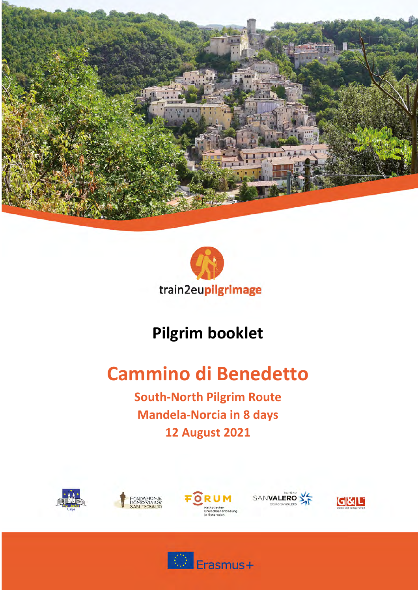



# Pilgrim booklet<br> **Cammino di Benedetto**

**South-North Pilgrim Route South-North Pilgrim Route<br>Mandela-Norcia in 8 days 12 August 2021 12 August 2021**











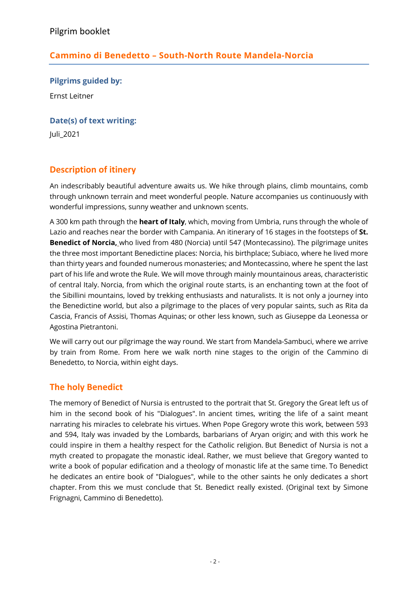# **Cammino di Benedetto – South-North Route Mandela-Norcia**

**Pilgrims guided by:**

Ernst Leitner

**Date(s) of text writing:**

Juli\_2021

# **Description of itinery**

An indescribably beautiful adventure awaits us. We hike through plains, climb mountains, comb through unknown terrain and meet wonderful people. Nature accompanies us continuously with wonderful impressions, sunny weather and unknown scents.

A 300 km path through the **heart of Italy**, which, moving from Umbria, runs through the whole of Lazio and reaches near the border with Campania. An itinerary of 16 stages in the footsteps of **St. Benedict of Norcia,** who lived from 480 (Norcia) until 547 (Montecassino). The pilgrimage unites the three most important Benedictine places: Norcia, his birthplace; Subiaco, where he lived more than thirty years and founded numerous monasteries; and Montecassino, where he spent the last part of his life and wrote the Rule. We will move through mainly mountainous areas, characteristic of central Italy. Norcia, from which the original route starts, is an enchanting town at the foot of the Sibillini mountains, loved by trekking enthusiasts and naturalists. It is not only a journey into the Benedictine world, but also a pilgrimage to the places of very popular saints, such as Rita da Cascia, Francis of Assisi, Thomas Aquinas; or other less known, such as Giuseppe da Leonessa or Agostina Pietrantoni.

We will carry out our pilgrimage the way round. We start from Mandela-Sambuci, where we arrive by train from Rome. From here we walk north nine stages to the origin of the Cammino di Benedetto, to Norcia, within eight days.

# **The holy Benedict**

The memory of Benedict of Nursia is entrusted to the portrait that St. Gregory the Great left us of him in the second book of his "Dialogues". In ancient times, writing the life of a saint meant narrating his miracles to celebrate his virtues. When Pope Gregory wrote this work, between 593 and 594, Italy was invaded by the Lombards, barbarians of Aryan origin; and with this work he could inspire in them a healthy respect for the Catholic religion. But Benedict of Nursia is not a myth created to propagate the monastic ideal. Rather, we must believe that Gregory wanted to write a book of popular edification and a theology of monastic life at the same time. To Benedict he dedicates an entire book of "Dialogues", while to the other saints he only dedicates a short chapter. From this we must conclude that St. Benedict really existed. (Original text by Simone Frignagni, Cammino di Benedetto).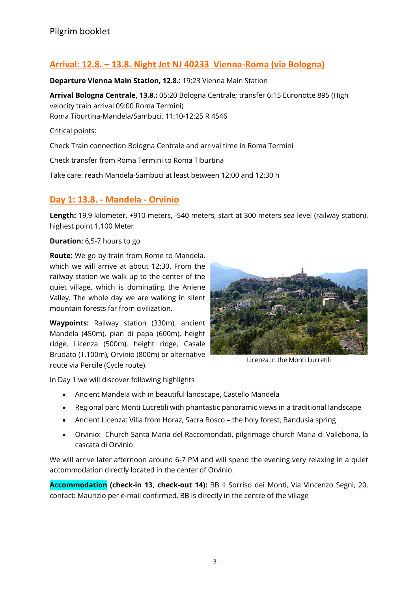# **Arrival: 12.8. – 13.8. Night Jet NJ 40233 Vienna-Roma (via Bologna)**

#### **Departure Vienna Main Station, 12.8.:** 19:23 Vienna Main Station

**Arrival Bologna Centrale, 13.8.:** 05:20 Bologna Centrale; transfer 6:15 Euronotte 895 (High velocity train arrival 09:00 Roma Termini) Roma Tiburtina-Mandela/Sambuci, 11:10-12:25 R 4546

Critical points:

Check Train connection Bologna Centrale and arrival time in Roma Termini

Check transfer from Roma Termini to Roma Tiburtina

Take care: reach Mandela-Sambuci at least between 12:00 and 12:30 h

#### **Day 1: 13.8. - Mandela - Orvinio**

**Length:** 19,9 kilometer, +910 meters, -540 meters, start at 300 meters sea level (railway station). highest point 1.100 Meter

**Duration:** 6,5-7 hours to go

**Route:** We go by train from Rome to Mandela, which we will arrive at about 12:30. From the railway station we walk up to the center of the quiet village, which is dominating the Aniene Valley. The whole day we are walking in silent mountain forests far from civilization.

**Waypoints:** Railway station (330m), ancient Mandela (450m), pian di papa (600m), height ridge, Licenza (500m), height ridge, Casale Brudato (1.100m), Orvinio (800m) or alternative route via Percile (Cycle route).



Licenza in the Monti Lucretili

In Day 1 we will discover following highlights

- Ancient Mandela with in beautiful landscape, Castello Mandela
- Regional parc Monti Lucretili with phantastic panoramic views in a traditional landscape
- Ancient Licenza: Villa from Horaz, Sacra Bosco the holy forest, Bandusia spring
- Orvinio: Church Santa Maria del Raccomondati, pilgrimage church Maria di Vallebona, la cascata di Orvinio

We will arrive later afternoon around 6-7 PM and will spend the evening very relaxing in a quiet accommodation directly located in the center of Orvinio.

**Accommodation (check-in 13, check-out 14):** BB Il Sorriso dei Monti, Via Vincenzo Segni, 20, contact: Maurizio per e-mail confirmed, BB is directly in the centre of the village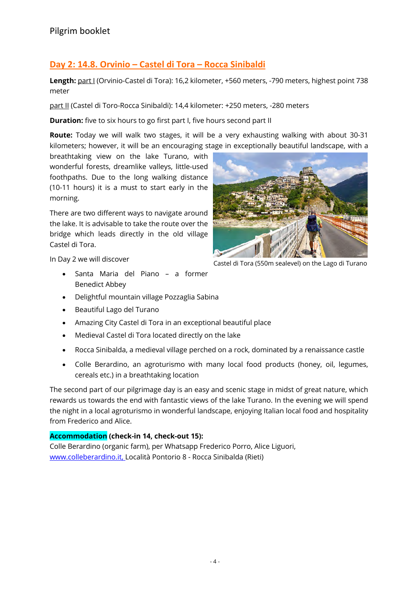# **Day 2: 14.8. Orvinio – Castel di Tora – Rocca Sinibaldi**

Length: part I (Orvinio-Castel di Tora): 16,2 kilometer, +560 meters, -790 meters, highest point 738 meter

part II (Castel di Toro-Rocca Sinibaldi): 14,4 kilometer: +250 meters, -280 meters

**Duration:** five to six hours to go first part I, five hours second part II

**Route:** Today we will walk two stages, it will be a very exhausting walking with about 30-31 kilometers; however, it will be an encouraging stage in exceptionally beautiful landscape, with a

breathtaking view on the lake Turano, with wonderful forests, dreamlike valleys, little-used foothpaths. Due to the long walking distance (10-11 hours) it is a must to start early in the morning.

There are two different ways to navigate around the lake. It is advisable to take the route over the bridge which leads directly in the old village Castel di Tora.



In Day 2 we will discover

- Santa Maria del Piano a former Benedict Abbey
- Delightful mountain village Pozzaglia Sabina
- Beautiful Lago del Turano
- Amazing City Castel di Tora in an exceptional beautiful place
- Medieval Castel di Tora located directly on the lake
- Rocca Sinibalda, a medieval village perched on a rock, dominated by a renaissance castle
- Colle Berardino, an agroturismo with many local food products (honey, oil, legumes, cereals etc.) in a breathtaking location

The second part of our pilgrimage day is an easy and scenic stage in midst of great nature, which rewards us towards the end with fantastic views of the lake Turano. In the evening we will spend the night in a local agroturismo in wonderful landscape, enjoying Italian local food and hospitality from Frederico and Alice.

#### **Accommodation (check-in 14, check-out 15):**

Colle Berardino (organic farm), per Whatsapp Frederico Porro, Alice Liguori, www.colleberardino.it, Località Pontorio 8 - Rocca Sinibalda (Rieti)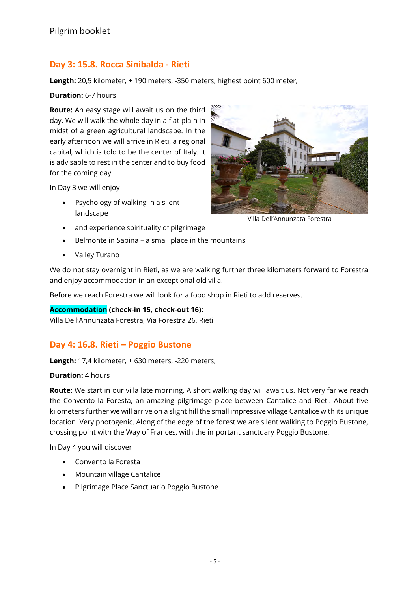# **Day 3: 15.8. Rocca Sinibalda - Rieti**

**Length:** 20,5 kilometer, + 190 meters, -350 meters, highest point 600 meter,

#### **Duration:** 6-7 hours

**Route:** An easy stage will await us on the third day. We will walk the whole day in a flat plain in midst of a green agricultural landscape. In the early afternoon we will arrive in Rieti, a regional capital, which is told to be the center of Italy. It is advisable to rest in the center and to buy food for the coming day.

In Day 3 we will enjoy

• Psychology of walking in a silent landscape



Villa Dell'Annunzata Forestra

- and experience spirituality of pilgrimage
- Belmonte in Sabina a small place in the mountains
- Valley Turano

We do not stay overnight in Rieti, as we are walking further three kilometers forward to Forestra and enjoy accommodation in an exceptional old villa.

Before we reach Forestra we will look for a food shop in Rieti to add reserves.

#### **Accommodation (check-in 15, check-out 16):**

Villa Dell'Annunzata Forestra, Via Forestra 26, Rieti

#### **Day 4: 16.8. Rieti – Poggio Bustone**

**Length:** 17,4 kilometer, + 630 meters, -220 meters,

#### **Duration:** 4 hours

**Route:** We start in our villa late morning. A short walking day will await us. Not very far we reach the Convento la Foresta, an amazing pilgrimage place between Cantalice and Rieti. About five kilometers further we will arrive on a slight hill the small impressive village Cantalice with its unique location. Very photogenic. Along of the edge of the forest we are silent walking to Poggio Bustone, crossing point with the Way of Frances, with the important sanctuary Poggio Bustone.

In Day 4 you will discover

- Convento la Foresta
- Mountain village Cantalice
- Pilgrimage Place Sanctuario Poggio Bustone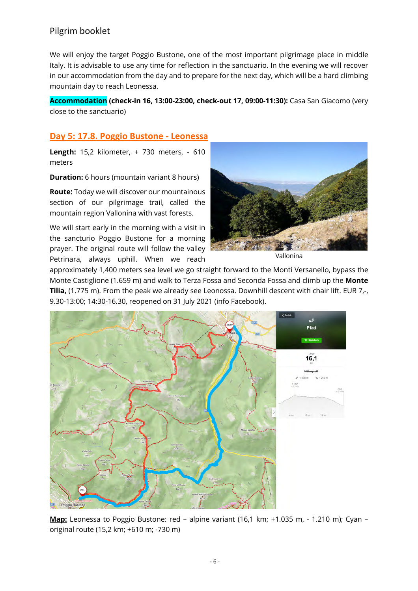We will enjoy the target Poggio Bustone, one of the most important pilgrimage place in middle Italy. It is advisable to use any time for reflection in the sanctuario. In the evening we will recover in our accommodation from the day and to prepare for the next day, which will be a hard climbing mountain day to reach Leonessa.

**Accommodation (check-in 16, 13:00-23:00, check-out 17, 09:00-11:30):** Casa San Giacomo (very close to the sanctuario)

#### **Day 5: 17.8. Poggio Bustone - Leonessa**

**Length:** 15,2 kilometer, + 730 meters, - 610 meters

**Duration:** 6 hours (mountain variant 8 hours)

**Route:** Today we will discover our mountainous section of our pilgrimage trail, called the mountain region Vallonina with vast forests.

We will start early in the morning with a visit in the sancturio Poggio Bustone for a morning prayer. The original route will follow the valley Petrinara, always uphill. When we reach



Vallonina

approximately 1,400 meters sea level we go straight forward to the Monti Versanello, bypass the Monte Castiglione (1.659 m) and walk to Terza Fossa and Seconda Fossa and climb up the **Monte Tilia,** (1.775 m). From the peak we already see Leonossa. Downhill descent with chair lift. EUR 7,-, 9.30-13:00; 14:30-16.30, reopened on 31 July 2021 (info Facebook).



**Map:** Leonessa to Poggio Bustone: red – alpine variant (16,1 km; +1.035 m, - 1.210 m); Cyan – original route (15,2 km; +610 m; -730 m)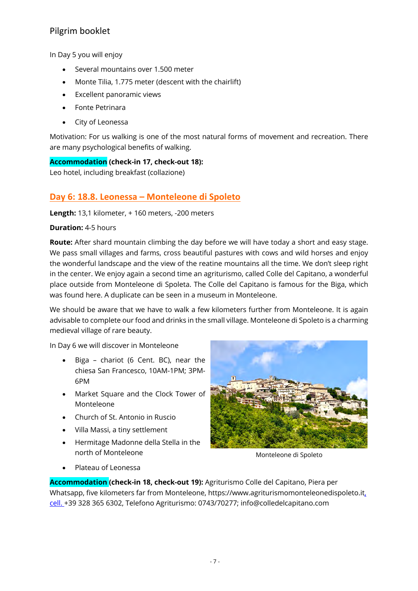In Day 5 you will enjoy

- Several mountains over 1.500 meter
- Monte Tilia, 1.775 meter (descent with the chairlift)
- Excellent panoramic views
- Fonte Petrinara
- City of Leonessa

Motivation: For us walking is one of the most natural forms of movement and recreation. There are many psychological benefits of walking.

**Accommodation (check-in 17, check-out 18):**

Leo hotel, including breakfast (collazione)

#### **Day 6: 18.8. Leonessa – Monteleone di Spoleto**

**Length:** 13,1 kilometer, + 160 meters, -200 meters

**Duration:** 4-5 hours

**Route:** After shard mountain climbing the day before we will have today a short and easy stage. We pass small villages and farms, cross beautiful pastures with cows and wild horses and enjoy the wonderful landscape and the view of the reatine mountains all the time. We don't sleep right in the center. We enjoy again a second time an agriturismo, called Colle del Capitano, a wonderful place outside from Monteleone di Spoleta. The Colle del Capitano is famous for the Biga, which was found here. A duplicate can be seen in a museum in Monteleone.

We should be aware that we have to walk a few kilometers further from Monteleone. It is again advisable to complete our food and drinks in the small village. Monteleone di Spoleto is a charming medieval village of rare beauty.

In Day 6 we will discover in Monteleone

- Biga chariot (6 Cent. BC), near the chiesa San Francesco, 10AM-1PM; 3PM-6PM
- Market Square and the Clock Tower of Monteleone
- Church of St. Antonio in Ruscio
- Villa Massi, a tiny settlement
- Hermitage Madonne della Stella in the north of Monteleone



Monteleone di Spoleto

• Plateau of Leonessa

**Accommodation (check-in 18, check-out 19):** Agriturismo Colle del Capitano, Piera per Whatsapp, five kilometers far from Monteleone, https://www.agriturismomonteleonedispoleto.it, cell. +39 328 365 6302, Telefono Agriturismo: 0743/70277; info@colledelcapitano.com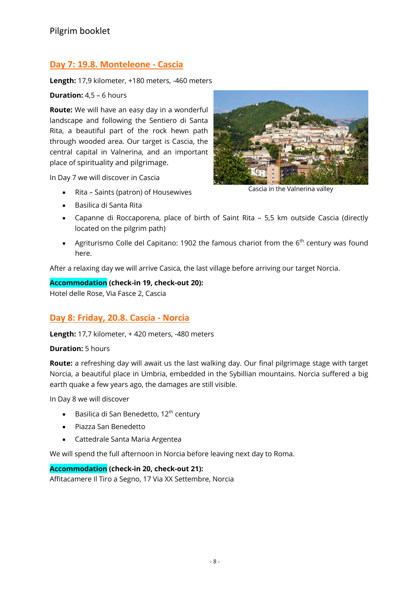#### **Day 7: 19.8. Monteleone - Cascia**

**Length:** 17,9 kilometer, +180 meters, -460 meters

#### **Duration:** 4,5 – 6 hours

**Route:** We will have an easy day in a wonderful landscape and following the Sentiero di Santa Rita, a beautiful part of the rock hewn path through wooded area. Our target is Cascia, the central capital in Valnerina, and an important place of spirituality and pilgrimage.

In Day 7 we will discover in Cascia

- Rita Saints (patron) of Housewives
- Basilica di Santa Rita



Cascia in the Valnerina valley

- Capanne di Roccaporena, place of birth of Saint Rita 5,5 km outside Cascia (directly located on the pilgrim path)
- Agriturismo Colle del Capitano: 1902 the famous chariot from the  $6<sup>th</sup>$  century was found here.

After a relaxing day we will arrive Casica, the last village before arriving our target Norcia.

#### **Accommodation (check-in 19, check-out 20):**

Hotel delle Rose, Via Fasce 2, Cascia

#### **Day 8: Friday, 20.8. Cascia - Norcia**

**Length:** 17,7 kilometer, + 420 meters, -480 meters

**Duration:** 5 hours

**Route:** a refreshing day will await us the last walking day. Our final pilgrimage stage with target Norcia, a beautiful place in Umbria, embedded in the Sybillian mountains. Norcia suffered a big earth quake a few years ago, the damages are still visible.

In Day 8 we will discover

- Basilica di San Benedetto,  $12<sup>th</sup>$  century
- Piazza San Benedetto
- Cattedrale Santa Maria Argentea

We will spend the full afternoon in Norcia before leaving next day to Roma.

#### **Accommodation (check-in 20, check-out 21):**

Affitacamere Il Tiro a Segno, 17 Via XX Settembre, Norcia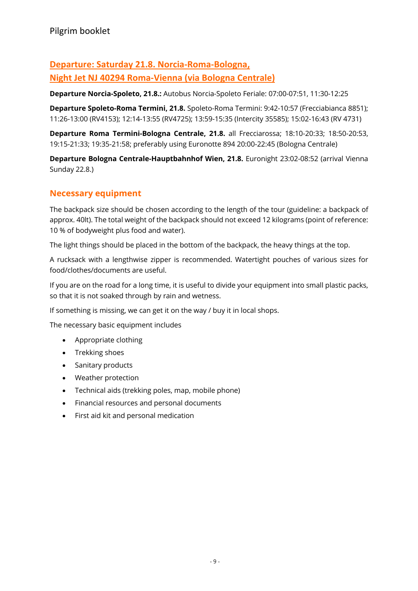# **Departure: Saturday 21.8. Norcia-Roma-Bologna, Night Jet NJ 40294 Roma-Vienna (via Bologna Centrale)**

**Departure Norcia-Spoleto, 21.8.:** Autobus Norcia-Spoleto Feriale: 07:00-07:51, 11:30-12:25

**Departure Spoleto-Roma Termini, 21.8.** Spoleto-Roma Termini: 9:42-10:57 (Frecciabianca 8851); 11:26-13:00 (RV4153); 12:14-13:55 (RV4725); 13:59-15:35 (Intercity 35585); 15:02-16:43 (RV 4731)

**Departure Roma Termini-Bologna Centrale, 21.8.** all Frecciarossa; 18:10-20:33; 18:50-20:53, 19:15-21:33; 19:35-21:58; preferably using Euronotte 894 20:00-22:45 (Bologna Centrale)

**Departure Bologna Centrale-Hauptbahnhof Wien, 21.8.** Euronight 23:02-08:52 (arrival Vienna Sunday 22.8.)

# **Necessary equipment**

The backpack size should be chosen according to the length of the tour (guideline: a backpack of approx. 40lt). The total weight of the backpack should not exceed 12 kilograms (point of reference: 10 % of bodyweight plus food and water).

The light things should be placed in the bottom of the backpack, the heavy things at the top.

A rucksack with a lengthwise zipper is recommended. Watertight pouches of various sizes for food/clothes/documents are useful.

If you are on the road for a long time, it is useful to divide your equipment into small plastic packs, so that it is not soaked through by rain and wetness.

If something is missing, we can get it on the way / buy it in local shops.

The necessary basic equipment includes

- Appropriate clothing
- Trekking shoes
- Sanitary products
- Weather protection
- Technical aids (trekking poles, map, mobile phone)
- Financial resources and personal documents
- First aid kit and personal medication